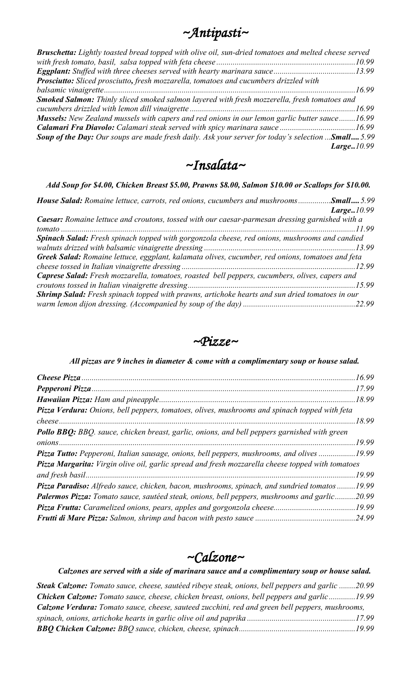| ~Antipasti~ |
|-------------|
|-------------|

| Bruschetta: Lightly toasted bread topped with olive oil, sun-dried tomatoes and melted cheese served |  |
|------------------------------------------------------------------------------------------------------|--|
|                                                                                                      |  |
|                                                                                                      |  |
| Prosciutto: Sliced prosciutto, fresh mozzarella, tomatoes and cucumbers drizzled with                |  |
|                                                                                                      |  |
| Smoked Salmon: Thinly sliced smoked salmon layered with fresh mozzerella, fresh tomatoes and         |  |
|                                                                                                      |  |
| Mussels: New Zealand mussels with capers and red onions in our lemon garlic butter sauce16.99        |  |
|                                                                                                      |  |
| Soup of the Day: Our soups are made fresh daily. Ask your server for today's selection  Small 5.99   |  |
| Large.10.99                                                                                          |  |

*~Insalata~* 

*Add Soup for \$4.00, Chicken Breast \$5.00, Prawns \$8.00, Salmon \$10.00 or Scallops for \$10.00.* 

| <b>House Salad:</b> Romaine lettuce, carrots, red onions, cucumbers and mushrooms <b>Small</b> 5.99   |
|-------------------------------------------------------------------------------------------------------|
| Large10.99                                                                                            |
| Caesar: Romaine lettuce and croutons, tossed with our caesar-parmesan dressing garnished with a       |
|                                                                                                       |
| Spinach Salad: Fresh spinach topped with gorgonzola cheese, red onions, mushrooms and candied         |
|                                                                                                       |
| Greek Salad: Romaine lettuce, eggplant, kalamata olives, cucumber, red onions, tomatoes and feta      |
|                                                                                                       |
| <b>Caprese Salad:</b> Fresh mozzarella, tomatoes, roasted bell peppers, cucumbers, olives, capers and |
|                                                                                                       |
| Shrimp Salad: Fresh spinach topped with prawns, artichoke hearts and sun dried tomatoes in our        |
|                                                                                                       |



*All pizzas are 9 inches in diameter & come with a complimentary soup or house salad.*

|                                                                                                     | .17.99 |
|-----------------------------------------------------------------------------------------------------|--------|
|                                                                                                     | .18.99 |
| Pizza Verdura: Onions, bell peppers, tomatoes, olives, mushrooms and spinach topped with feta       |        |
|                                                                                                     | 18.99  |
| <b>Pollo BBQ:</b> BBQ. sauce, chicken breast, garlic, onions, and bell peppers garnished with green |        |
|                                                                                                     | .19.99 |
| Pizza Tutto: Pepperoni, Italian sausage, onions, bell peppers, mushrooms, and olives 19.99          |        |
| Pizza Margarita: Virgin olive oil, garlic spread and fresh mozzarella cheese topped with tomatoes   |        |
|                                                                                                     | 19.99  |
| Pizza Paradiso: Alfredo sauce, chicken, bacon, mushrooms, spinach, and sundried tomatos 19.99       |        |
| Palermos Pizza: Tomato sauce, sautéed steak, onions, bell peppers, mushrooms and garlic             | 20.99  |
|                                                                                                     | 19.99  |
|                                                                                                     | .24.99 |

## *~Calzone~*

*Calzones are served with a side of marinara sauce and a complimentary soup or house salad.* 

| <b>Steak Calzone:</b> Tomato sauce, cheese, sautéed ribeye steak, onions, bell peppers and garlic 20.99 |  |
|---------------------------------------------------------------------------------------------------------|--|
| <b>Chicken Calzone:</b> Tomato sauce, cheese, chicken breast, onions, bell peppers and garlic19.99      |  |
| <b>Calzone Verdura:</b> Tomato sauce, cheese, sauteed zucchini, red and green bell peppers, mushrooms,  |  |
|                                                                                                         |  |
|                                                                                                         |  |